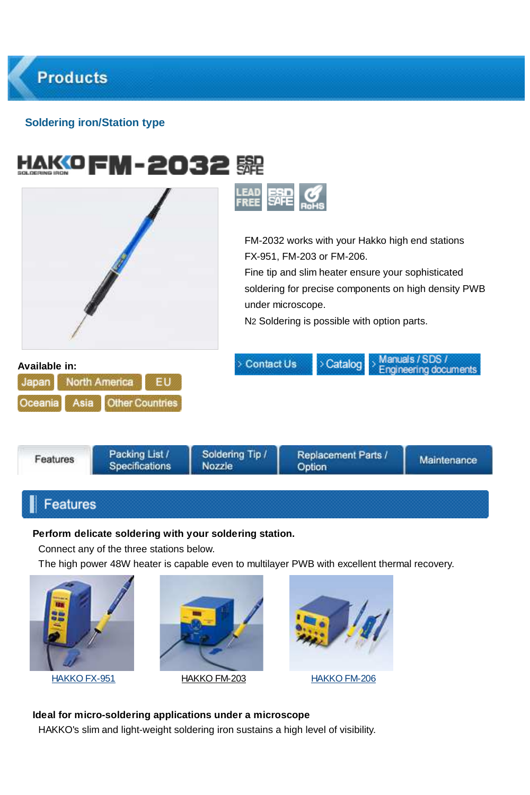## **Soldering iron/Station type**

|                                           |                                                | 歸<br>LEAD<br>Free                |                                                                                                                                                                                                                                                                            |                                          |  |
|-------------------------------------------|------------------------------------------------|----------------------------------|----------------------------------------------------------------------------------------------------------------------------------------------------------------------------------------------------------------------------------------------------------------------------|------------------------------------------|--|
|                                           |                                                |                                  | FM-2032 works with your Hakko high end stations<br>FX-951, FM-203 or FM-206.<br>Fine tip and slim heater ensure your sophisticated<br>soldering for precise components on high density PWB<br>under microscope.<br>N <sub>2</sub> Soldering is possible with option parts. |                                          |  |
| Available in:<br>Japan<br>Asia<br>Oceania | North America<br>EU.<br><b>Other Countries</b> | Contact Us                       | > Catalog                                                                                                                                                                                                                                                                  | Manuals / SDS /<br>Engineering documents |  |
| Features                                  | Packing List /<br><b>Specifications</b>        | Soldering Tip /<br><b>Nozzle</b> | Replacement Parts /<br>Option                                                                                                                                                                                                                                              | Maintenance                              |  |

# Features

#### **Perform delicate soldering with your soldering station.**

Connect any of the three stations below.

The high power 48W heater is capable even to multilayer PWB with excellent thermal recovery.







**Ideal for micro-soldering applications under a microscope**

HAKKO's slim and light-weight soldering iron sustains a high level of visibility.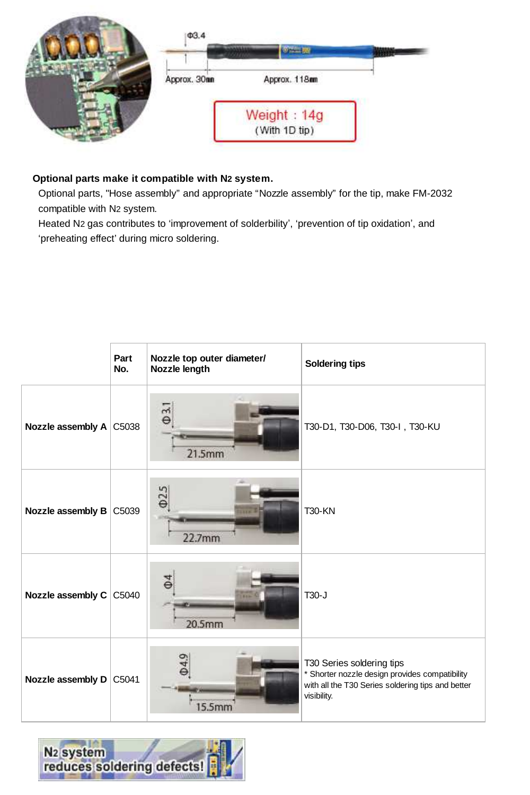

## **Optional parts make it compatible with N2 system.**

Optional parts, "Hose assembly" and appropriate "Nozzle assembly" for the tip, make FM-2032 compatible with N2 system.

Heated N2 gas contributes to 'improvement of solderbility', 'prevention of tip oxidation', and 'preheating effect' during micro soldering.

|                         | Part<br>No. | Nozzle top outer diameter/<br>Nozzle length | Soldering tips                                                                                                                                  |
|-------------------------|-------------|---------------------------------------------|-------------------------------------------------------------------------------------------------------------------------------------------------|
| Nozzle assembly A C5038 |             | $\overline{\theta}$<br>21.5mm               | T30-D1, T30-D06, T30-I, T30-KU                                                                                                                  |
| Nozzle assembly B C5039 |             | Q25<br>22.7mm                               | <b>T30-KN</b>                                                                                                                                   |
| Nozzle assembly C       | C5040       | 20.5mm                                      | $T30 - J$                                                                                                                                       |
| Nozzle assembly D C5041 |             | 15.5mm                                      | T30 Series soldering tips<br>* Shorter nozzle design provides compatibility<br>with all the T30 Series soldering tips and better<br>visibility. |